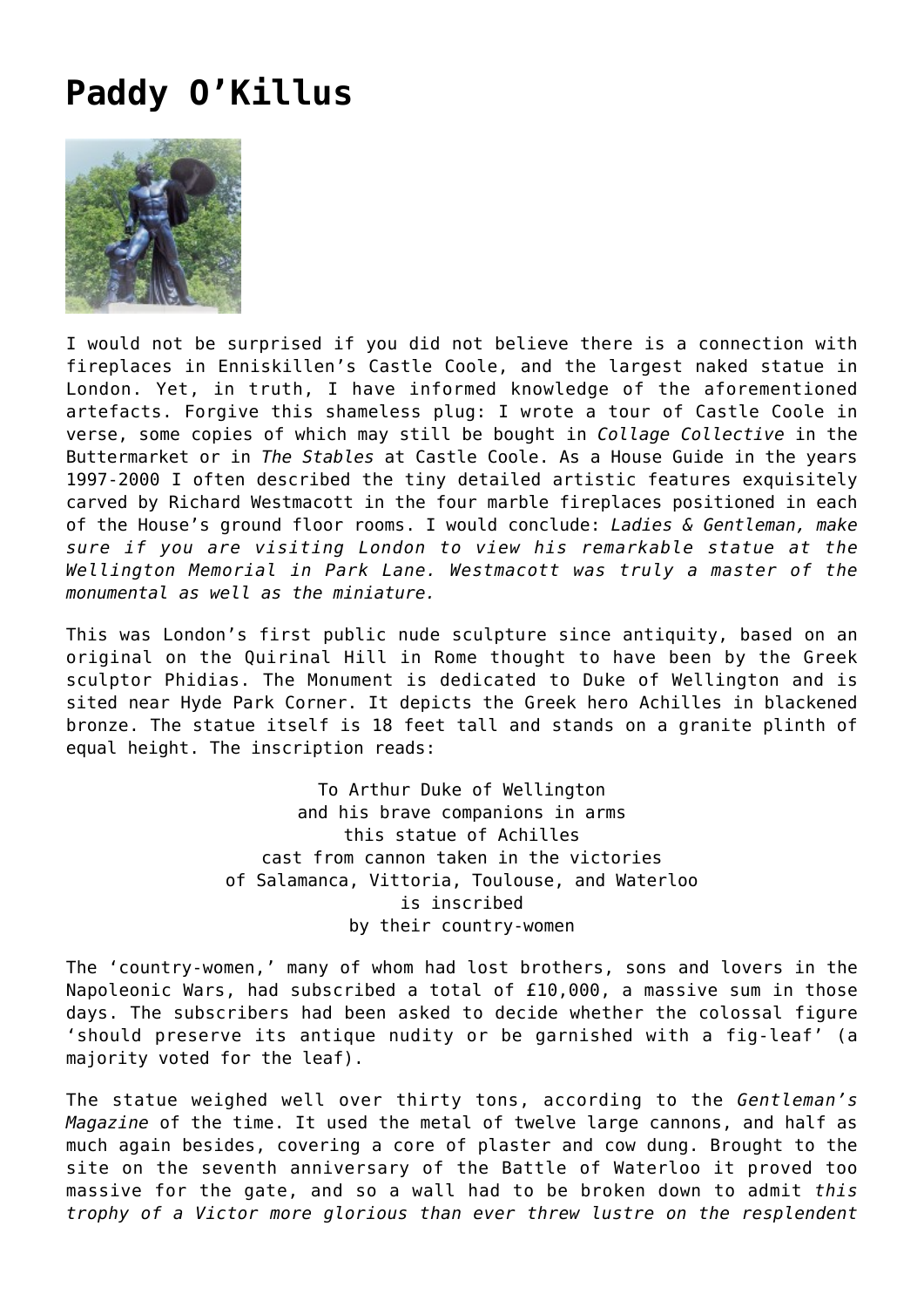## **[Paddy O'Killus](https://corncrakemagazine.com/article/paddy-okillus/)**



I would not be surprised if you did not believe there is a connection with fireplaces in Enniskillen's Castle Coole, and the largest naked statue in London. Yet, in truth, I have informed knowledge of the aforementioned artefacts. Forgive this shameless plug: I wrote a tour of Castle Coole in verse, some copies of which may still be bought in *Collage Collective* in the Buttermarket or in *The Stables* at Castle Coole. As a House Guide in the years 1997-2000 I often described the tiny detailed artistic features exquisitely carved by Richard Westmacott in the four marble fireplaces positioned in each of the House's ground floor rooms. I would conclude: *Ladies & Gentleman, make sure if you are visiting London to view his remarkable statue at the Wellington Memorial in Park Lane. Westmacott was truly a master of the monumental as well as the miniature.*

This was London's first public nude sculpture since antiquity, based on an original on the Quirinal Hill in Rome thought to have been by the Greek sculptor Phidias. The Monument is dedicated to Duke of Wellington and is sited near Hyde Park Corner. It depicts the Greek hero Achilles in blackened bronze. The statue itself is 18 feet tall and stands on a granite plinth of equal height. The inscription reads:

> To Arthur Duke of Wellington and his brave companions in arms this statue of Achilles cast from cannon taken in the victories of Salamanca, Vittoria, Toulouse, and Waterloo is inscribed by their country-women

The 'country-women,' many of whom had lost brothers, sons and lovers in the Napoleonic Wars, had subscribed a total of £10,000, a massive sum in those days. The subscribers had been asked to decide whether the colossal figure 'should preserve its antique nudity or be garnished with a fig-leaf' (a majority voted for the leaf).

The statue weighed well over thirty tons, according to the *Gentleman's Magazine* of the time. It used the metal of twelve large cannons, and half as much again besides, covering a core of plaster and cow dung. Brought to the site on the seventh anniversary of the Battle of Waterloo it proved too massive for the gate, and so a wall had to be broken down to admit *this trophy of a Victor more glorious than ever threw lustre on the resplendent*